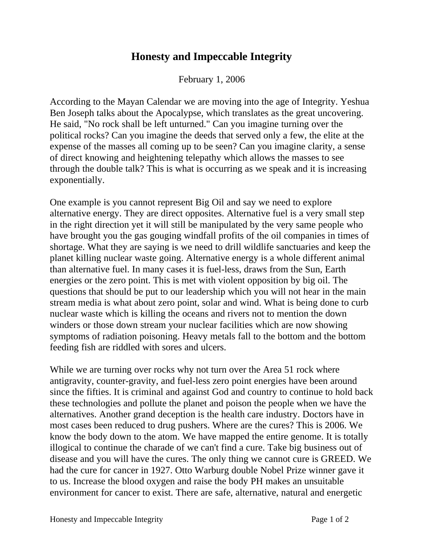## **Honesty and Impeccable Integrity**

February 1, 2006

According to the Mayan Calendar we are moving into the age of Integrity. Yeshua Ben Joseph talks about the Apocalypse, which translates as the great uncovering. He said, "No rock shall be left unturned." Can you imagine turning over the political rocks? Can you imagine the deeds that served only a few, the elite at the expense of the masses all coming up to be seen? Can you imagine clarity, a sense of direct knowing and heightening telepathy which allows the masses to see through the double talk? This is what is occurring as we speak and it is increasing exponentially.

One example is you cannot represent Big Oil and say we need to explore alternative energy. They are direct opposites. Alternative fuel is a very small step in the right direction yet it will still be manipulated by the very same people who have brought you the gas gouging windfall profits of the oil companies in times of shortage. What they are saying is we need to drill wildlife sanctuaries and keep the planet killing nuclear waste going. Alternative energy is a whole different animal than alternative fuel. In many cases it is fuel-less, draws from the Sun, Earth energies or the zero point. This is met with violent opposition by big oil. The questions that should be put to our leadership which you will not hear in the main stream media is what about zero point, solar and wind. What is being done to curb nuclear waste which is killing the oceans and rivers not to mention the down winders or those down stream your nuclear facilities which are now showing symptoms of radiation poisoning. Heavy metals fall to the bottom and the bottom feeding fish are riddled with sores and ulcers.

While we are turning over rocks why not turn over the Area 51 rock where antigravity, counter-gravity, and fuel-less zero point energies have been around since the fifties. It is criminal and against God and country to continue to hold back these technologies and pollute the planet and poison the people when we have the alternatives. Another grand deception is the health care industry. Doctors have in most cases been reduced to drug pushers. Where are the cures? This is 2006. We know the body down to the atom. We have mapped the entire genome. It is totally illogical to continue the charade of we can't find a cure. Take big business out of disease and you will have the cures. The only thing we cannot cure is GREED. We had the cure for cancer in 1927. Otto Warburg double Nobel Prize winner gave it to us. Increase the blood oxygen and raise the body PH makes an unsuitable environment for cancer to exist. There are safe, alternative, natural and energetic